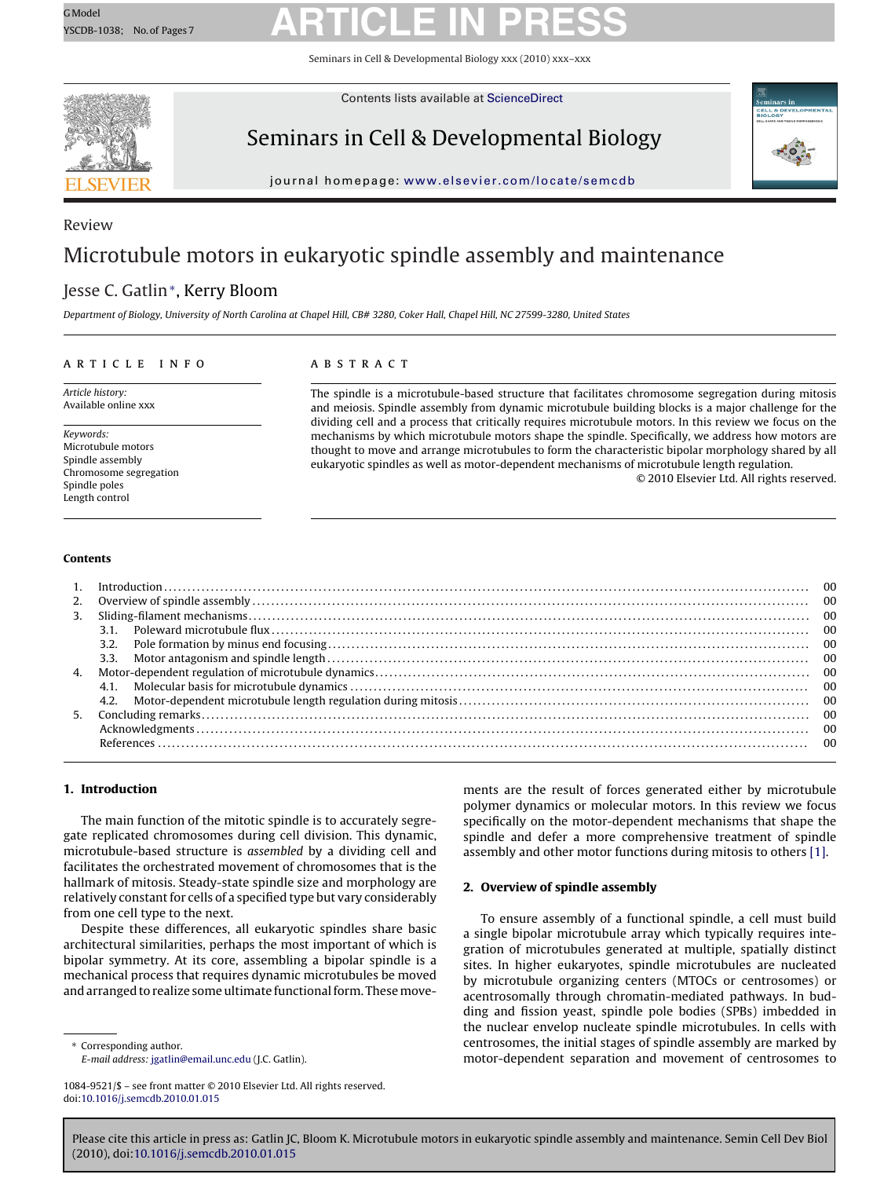Seminars in Cell & Developmental Biology xxx (2010) xxx–xxx



Contents lists available at [ScienceDirect](http://www.sciencedirect.com/science/journal/10849521)

### Seminars in Cell & Developmental Biology



journal homepage: [www.elsevier.com/locate/semcdb](http://www.elsevier.com/locate/semcdb)

### Review Microtubule motors in eukaryotic spindle assembly and maintenance

### Jesse C. Gatlin∗, Kerry Bloom

Department of Biology, University of North Carolina at Chapel Hill, CB# 3280, Coker Hall, Chapel Hill, NC 27599-3280, United States

#### article info

Article history: Available online xxx

Keywords: Microtubule motors Spindle assembly Chromosome segregation Spindle poles Length control

### ABSTRACT

The spindle is a microtubule-based structure that facilitates chromosome segregation during mitosis and meiosis. Spindle assembly from dynamic microtubule building blocks is a major challenge for the dividing cell and a process that critically requires microtubule motors. In this review we focus on the mechanisms by which microtubule motors shape the spindle. Specifically, we address how motors are thought to move and arrange microtubules to form the characteristic bipolar morphology shared by all eukaryotic spindles as well as motor-dependent mechanisms of microtubule length regulation.

© 2010 Elsevier Ltd. All rights reserved.

#### **Contents**

#### **1. Introduction**

The main function of the mitotic spindle is to accurately segregate replicated chromosomes during cell division. This dynamic, microtubule-based structure is assembled by a dividing cell and facilitates the orchestrated movement of chromosomes that is the hallmark of mitosis. Steady-state spindle size and morphology are relatively constant for cells of a specified type but vary considerably from one cell type to the next.

Despite these differences, all eukaryotic spindles share basic architectural similarities, perhaps the most important of which is bipolar symmetry. At its core, assembling a bipolar spindle is a mechanical process that requires dynamic microtubules be moved and arranged to realize some ultimate functional form. These move-

Corresponding author. E-mail address: [jgatlin@email.unc.edu](mailto:jgatlin@email.unc.edu) (J.C. Gatlin). ments are the result of forces generated either by microtubule polymer dynamics or molecular motors. In this review we focus specifically on the motor-dependent mechanisms that shape the spindle and defer a more comprehensive treatment of spindle assembly and other motor functions during mitosis to others [\[1\].](#page-5-0)

#### **2. Overview of spindle assembly**

To ensure assembly of a functional spindle, a cell must build a single bipolar microtubule array which typically requires integration of microtubules generated at multiple, spatially distinct sites. In higher eukaryotes, spindle microtubules are nucleated by microtubule organizing centers (MTOCs or centrosomes) or acentrosomally through chromatin-mediated pathways. In budding and fission yeast, spindle pole bodies (SPBs) imbedded in the nuclear envelop nucleate spindle microtubules. In cells with centrosomes, the initial stages of spindle assembly are marked by motor-dependent separation and movement of centrosomes to

<sup>1084-9521/\$ –</sup> see front matter © 2010 Elsevier Ltd. All rights reserved. doi:[10.1016/j.semcdb.2010.01.015](dx.doi.org/10.1016/j.semcdb.2010.01.015)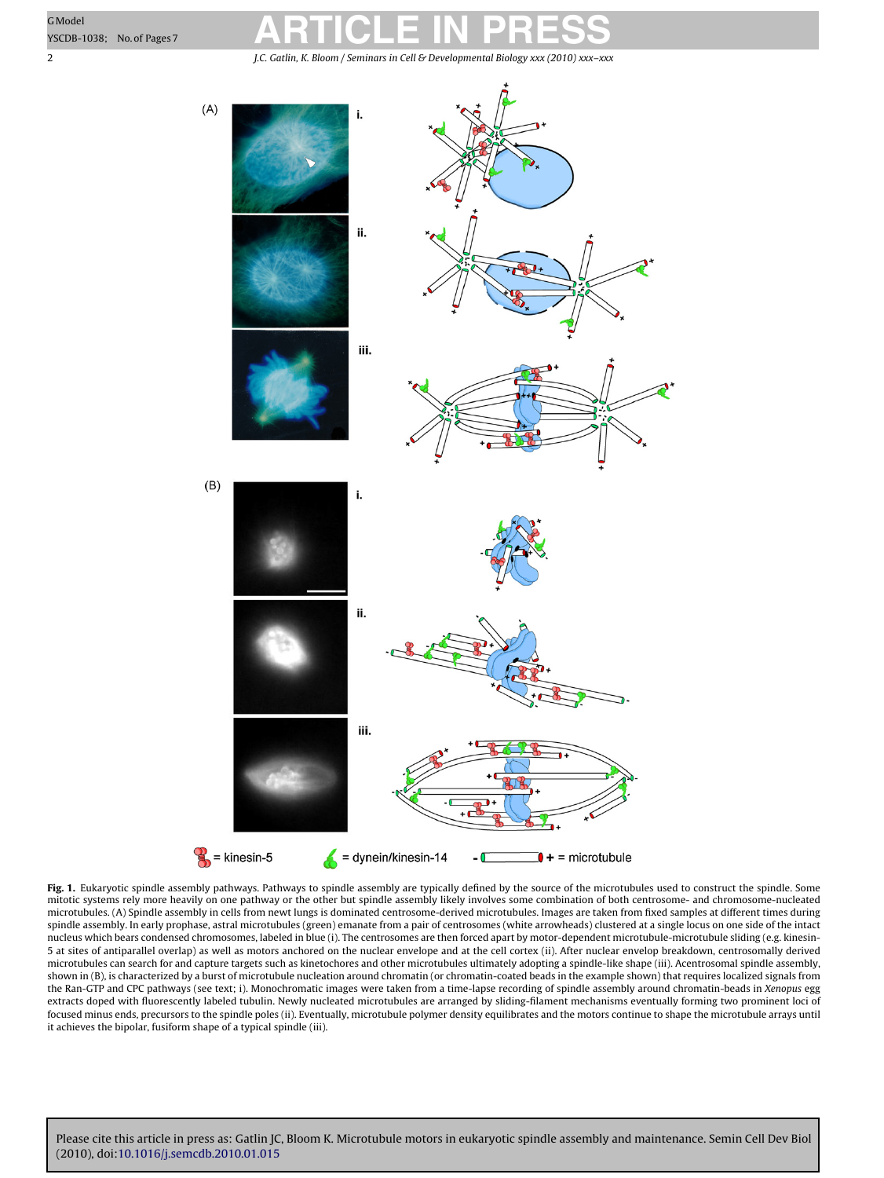<span id="page-1-0"></span>2 J.C. Gatlin, K. Bloom / Seminars in Cell & Developmental Biology *xxx (2010) xxx–xxx*



**Fig. 1.** Eukaryotic spindle assembly pathways. Pathways to spindle assembly are typically defined by the source of the microtubules used to construct the spindle. Some<br>mitotic systems rely more heavily on one pathway or t microtubules. (A) Spindle assembly in cells from newt lungs is dominated centrosome-derived microtubules. Images are taken from fixed samples at different times during spindle assembly. In early prophase, astral microtubules (green) emanate from a pair of centrosomes (white arrowheads) clustered at a single locus on one side of the intact nucleus which bears condensed chromosomes, labeled in blue (i). The centrosomes are then forced apart by motor-dependent microtubule-microtubule sliding (e.g. kinesin-5 at sites of antiparallel overlap) as well as motors anchored on the nuclear envelope and at the cell cortex (ii). After nuclear envelop breakdown, centrosomally derived microtubules can search for and capture targets such as kinetochores and other microtubules ultimately adopting a spindle-like shape (iii). Acentrosomal spindle assembly, shown in (B), is characterized by a burst of microtubule nucleation around chromatin (or chromatin-coated beads in the example shown) that requires localized signals from the Ran-GTP and CPC pathways (see text; i). Monochromatic images were taken from a time-lapse recording of spindle assembly around chromatin-beads in Xenopus egg extracts doped with fluorescently labeled tubulin. Newly nucleated microtubules are arranged by sliding-filament mechanisms eventually forming two prominent loci of focused minus ends, precursors to the spindle poles (ii). Eventually, microtubule polymer density equilibrates and the motors continue to shape the microtubule arrays until it achieves the bipolar, fusiform shape of a typical spindle (iii).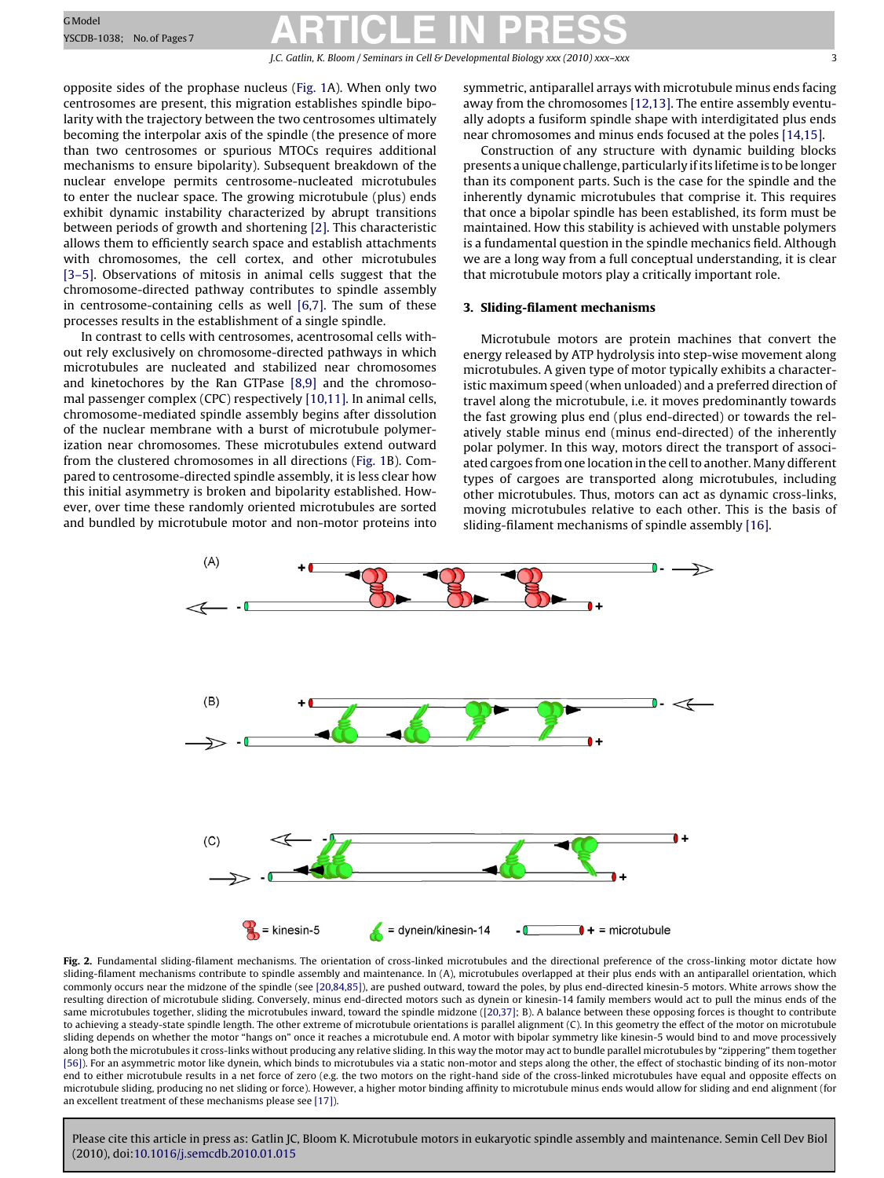J.C. Gatlin, K. Bloom / Seminars in Cell & Developmental Biology *xxx (2010) xxx–xxx* 3

<span id="page-2-0"></span>opposite sides of the prophase nucleus ([Fig. 1A](#page-1-0)). When only two centrosomes are present, this migration establishes spindle bipolarity with the trajectory between the two centrosomes ultimately becoming the interpolar axis of the spindle (the presence of more than two centrosomes or spurious MTOCs requires additional mechanisms to ensure bipolarity). Subsequent breakdown of the nuclear envelope permits centrosome-nucleated microtubules to enter the nuclear space. The growing microtubule (plus) ends exhibit dynamic instability characterized by abrupt transitions between periods of growth and shortening [\[2\]. T](#page-5-0)his characteristic allows them to efficiently search space and establish attachments with chromosomes, the cell cortex, and other microtubules [\[3–5\].](#page-5-0) Observations of mitosis in animal cells suggest that the chromosome-directed pathway contributes to spindle assembly in centrosome-containing cells as well [\[6,7\].](#page-5-0) The sum of these processes results in the establishment of a single spindle.

In contrast to cells with centrosomes, acentrosomal cells without rely exclusively on chromosome-directed pathways in which microtubules are nucleated and stabilized near chromosomes and kinetochores by the Ran GTPase [\[8,9\]](#page-5-0) and the chromosomal passenger complex (CPC) respectively [\[10,11\]. I](#page-5-0)n animal cells, chromosome-mediated spindle assembly begins after dissolution of the nuclear membrane with a burst of microtubule polymerization near chromosomes. These microtubules extend outward from the clustered chromosomes in all directions [\(Fig. 1B](#page-1-0)). Compared to centrosome-directed spindle assembly, it is less clear how this initial asymmetry is broken and bipolarity established. However, over time these randomly oriented microtubules are sorted and bundled by microtubule motor and non-motor proteins into

symmetric, antiparallel arrays with microtubule minus ends facing away from the chromosomes [\[12,13\]. T](#page-5-0)he entire assembly eventually adopts a fusiform spindle shape with interdigitated plus ends near chromosomes and minus ends focused at the poles [\[14,15\].](#page-5-0)

Construction of any structure with dynamic building blocks presents a unique challenge, particularly if its lifetime is to be longer than its component parts. Such is the case for the spindle and the inherently dynamic microtubules that comprise it. This requires that once a bipolar spindle has been established, its form must be maintained. How this stability is achieved with unstable polymers is a fundamental question in the spindle mechanics field. Although we are a long way from a full conceptual understanding, it is clear that microtubule motors play a critically important role.

#### **3. Sliding-filament mechanisms**

Microtubule motors are protein machines that convert the energy released by ATP hydrolysis into step-wise movement along microtubules. A given type of motor typically exhibits a characteristic maximum speed (when unloaded) and a preferred direction of travel along the microtubule, i.e. it moves predominantly towards the fast growing plus end (plus end-directed) or towards the relatively stable minus end (minus end-directed) of the inherently polar polymer. In this way, motors direct the transport of associated cargoes from one location in the cell to another. Many different types of cargoes are transported along microtubules, including other microtubules. Thus, motors can act as dynamic cross-links, moving microtubules relative to each other. This is the basis of sliding-filament mechanisms of spindle assembly [\[16\].](#page-5-0)



Fig. 2. Fundamental sliding-filament mechanisms. The orientation of cross-linked microtubules and the directional preference of the cross-linking motor dictate how sliding-filament mechanisms contribute to spindle assembly and maintenance. In (A), microtubules overlapped at their plus ends with an antiparallel orientation, which commonly occurs near the midzone of the spindle (see [\[20,84,85\]\),](#page-5-0) are pushed outward, toward the poles, by plus end-directed kinesin-5 motors. White arrows show the resulting direction of microtubule sliding. Conversely, minus end-directed motors such as dynein or kinesin-14 family members would act to pull the minus ends of the same microtubules together, sliding the microtubules inward, toward the spindle midzone ([\[20,37\]; B](#page-5-0)). A balance between these opposing forces is thought to contribute to achieving a steady-state spindle length. The other extreme of microtubule orientations is parallel alignment (C). In this geometry the effect of the motor on microtubule sliding depends on whether the motor "hangs on" once it reaches a microtubule end. A motor with bipolar symmetry like kinesin-5 would bind to and move processively along both the microtubules it cross-links without producing any relative sliding. In this way the motor may act to bundle parallel microtubules by "zippering" them together [\[56\]\).](#page-6-0) For an asymmetric motor like dynein, which binds to microtubules via a static non-motor and steps along the other, the effect of stochastic binding of its non-motor end to either microtubule results in a net force of zero (e.g. the two motors on the right-hand side of the cross-linked microtubules have equal and opposite effects on microtubule sliding, producing no net sliding or force). However, a higher motor binding affinity to microtubule minus ends would allow for sliding and end alignment (for an excellent treatment of these mechanisms please see [\[17\]\).](#page-5-0)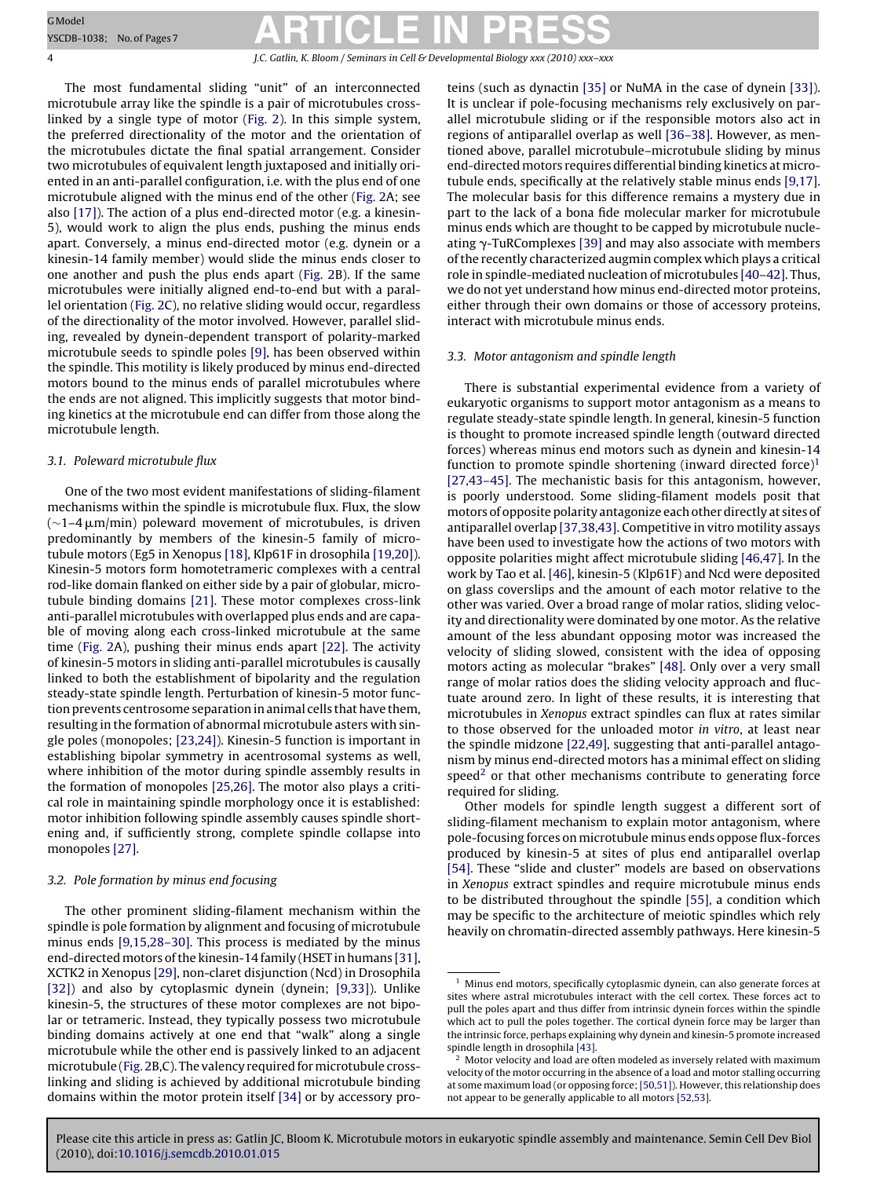4 J.C. Gatlin, K. Bloom / Seminars in Cell & Developmental Biology *xxx (2010) xxx–xxx*

The most fundamental sliding "unit" of an interconnected microtubule array like the spindle is a pair of microtubules crosslinked by a single type of motor ([Fig. 2\).](#page-2-0) In this simple system, the preferred directionality of the motor and the orientation of the microtubules dictate the final spatial arrangement. Consider two microtubules of equivalent length juxtaposed and initially oriented in an anti-parallel configuration, i.e. with the plus end of one microtubule aligned with the minus end of the other [\(Fig. 2A](#page-2-0); see also [\[17\]\).](#page-5-0) The action of a plus end-directed motor (e.g. a kinesin-5), would work to align the plus ends, pushing the minus ends apart. Conversely, a minus end-directed motor (e.g. dynein or a kinesin-14 family member) would slide the minus ends closer to one another and push the plus ends apart ([Fig. 2B](#page-2-0)). If the same microtubules were initially aligned end-to-end but with a parallel orientation ([Fig. 2C\)](#page-2-0), no relative sliding would occur, regardless of the directionality of the motor involved. However, parallel sliding, revealed by dynein-dependent transport of polarity-marked microtubule seeds to spindle poles [\[9\], h](#page-5-0)as been observed within the spindle. This motility is likely produced by minus end-directed motors bound to the minus ends of parallel microtubules where the ends are not aligned. This implicitly suggests that motor binding kinetics at the microtubule end can differ from those along the microtubule length.

#### 3.1. Poleward microtubule flux

One of the two most evident manifestations of sliding-filament mechanisms within the spindle is microtubule flux. Flux, the slow ( $\sim$ 1–4 µm/min) poleward movement of microtubules, is driven predominantly by members of the kinesin-5 family of microtubule motors (Eg5 in Xenopus [\[18\], K](#page-5-0)lp61F in drosophila [\[19,20\]\).](#page-5-0) Kinesin-5 motors form homotetrameric complexes with a central rod-like domain flanked on either side by a pair of globular, microtubule binding domains [\[21\].](#page-6-0) These motor complexes cross-link anti-parallel microtubules with overlapped plus ends and are capable of moving along each cross-linked microtubule at the same time ([Fig. 2A](#page-2-0)), pushing their minus ends apart [\[22\]. T](#page-6-0)he activity of kinesin-5 motors in sliding anti-parallel microtubules is causally linked to both the establishment of bipolarity and the regulation steady-state spindle length. Perturbation of kinesin-5 motor function prevents centrosome separation in animal cells that have them, resulting in the formation of abnormal microtubule asters with single poles (monopoles; [\[23,24\]\).](#page-6-0) Kinesin-5 function is important in establishing bipolar symmetry in acentrosomal systems as well, where inhibition of the motor during spindle assembly results in the formation of monopoles [\[25,26\]. T](#page-6-0)he motor also plays a critical role in maintaining spindle morphology once it is established: motor inhibition following spindle assembly causes spindle shortening and, if sufficiently strong, complete spindle collapse into monopoles [\[27\].](#page-6-0)

#### 3.2. Pole formation by minus end focusing

The other prominent sliding-filament mechanism within the spindle is pole formation by alignment and focusing of microtubule minus ends [\[9,15,28–30\]. T](#page-5-0)his process is mediated by the minus end-directed motors of the kinesin-14 family (HSET in humans [\[31\],](#page-6-0) XCTK2 in Xenopus [\[29\], n](#page-6-0)on-claret disjunction (Ncd) in Drosophila [\[32\]\)](#page-6-0) and also by cytoplasmic dynein (dynein; [\[9,33\]\).](#page-5-0) Unlike kinesin-5, the structures of these motor complexes are not bipolar or tetrameric. Instead, they typically possess two microtubule binding domains actively at one end that "walk" along a single microtubule while the other end is passively linked to an adjacent microtubule [\(Fig. 2B,](#page-2-0)C). The valency required for microtubule crosslinking and sliding is achieved by additional microtubule binding domains within the motor protein itself [\[34\]](#page-6-0) or by accessory proteins (such as dynactin [\[35\]](#page-6-0) or NuMA in the case of dynein [\[33\]\).](#page-6-0) It is unclear if pole-focusing mechanisms rely exclusively on parallel microtubule sliding or if the responsible motors also act in regions of antiparallel overlap as well [\[36–38\]. H](#page-6-0)owever, as mentioned above, parallel microtubule–microtubule sliding by minus end-directed motors requires differential binding kinetics at microtubule ends, specifically at the relatively stable minus ends [\[9,17\].](#page-5-0) The molecular basis for this difference remains a mystery due in part to the lack of a bona fide molecular marker for microtubule minus ends which are thought to be capped by microtubule nucleating  $\gamma$ -TuRComplexes [\[39\]](#page-6-0) and may also associate with members of the recently characterized augmin complex which plays a critical role in spindle-mediated nucleation of microtubules [\[40–42\]. T](#page-6-0)hus, we do not yet understand how minus end-directed motor proteins, either through their own domains or those of accessory proteins, interact with microtubule minus ends.

#### 3.3. Motor antagonism and spindle length

There is substantial experimental evidence from a variety of eukaryotic organisms to support motor antagonism as a means to regulate steady-state spindle length. In general, kinesin-5 function is thought to promote increased spindle length (outward directed forces) whereas minus end motors such as dynein and kinesin-14 function to promote spindle shortening (inward directed force) $1$ [\[27,43–45\]. T](#page-6-0)he mechanistic basis for this antagonism, however, is poorly understood. Some sliding-filament models posit that motors of opposite polarity antagonize each other directly at sites of antiparallel overlap [\[37,38,43\]. C](#page-6-0)ompetitive in vitro motility assays have been used to investigate how the actions of two motors with opposite polarities might affect microtubule sliding [\[46,47\]. I](#page-6-0)n the work by Tao et al. [\[46\], k](#page-6-0)inesin-5 (Klp61F) and Ncd were deposited on glass coverslips and the amount of each motor relative to the other was varied. Over a broad range of molar ratios, sliding velocity and directionality were dominated by one motor. As the relative amount of the less abundant opposing motor was increased the velocity of sliding slowed, consistent with the idea of opposing motors acting as molecular "brakes" [\[48\].](#page-6-0) Only over a very small range of molar ratios does the sliding velocity approach and fluctuate around zero. In light of these results, it is interesting that microtubules in Xenopus extract spindles can flux at rates similar to those observed for the unloaded motor in vitro, at least near the spindle midzone [\[22,49\], s](#page-6-0)uggesting that anti-parallel antagonism by minus end-directed motors has a minimal effect on sliding speed<sup>2</sup> or that other mechanisms contribute to generating force required for sliding.

Other models for spindle length suggest a different sort of sliding-filament mechanism to explain motor antagonism, where pole-focusing forces on microtubule minus ends oppose flux-forces produced by kinesin-5 at sites of plus end antiparallel overlap [\[54\]. T](#page-6-0)hese "slide and cluster" models are based on observations in Xenopus extract spindles and require microtubule minus ends to be distributed throughout the spindle [\[55\], a](#page-6-0) condition which may be specific to the architecture of meiotic spindles which rely heavily on chromatin-directed assembly pathways. Here kinesin-5

 $^{\rm 1}$  Minus end motors, specifically cytoplasmic dynein, can also generate forces at sites where astral microtubules interact with the cell cortex. These forces act to pull the poles apart and thus differ from intrinsic dynein forces within the spindle which act to pull the poles together. The cortical dynein force may be larger than the intrinsic force, perhaps explaining why dynein and kinesin-5 promote increased spindle length in drosophila [\[43\].](#page-6-0)

<sup>2</sup> Motor velocity and load are often modeled as inversely related with maximum velocity of the motor occurring in the absence of a load and motor stalling occurring at some maximum load (or opposing force;[\[50,51\]\). H](#page-6-0)owever, this relationship does not appear to be generally applicable to all motors [\[52,53\].](#page-6-0)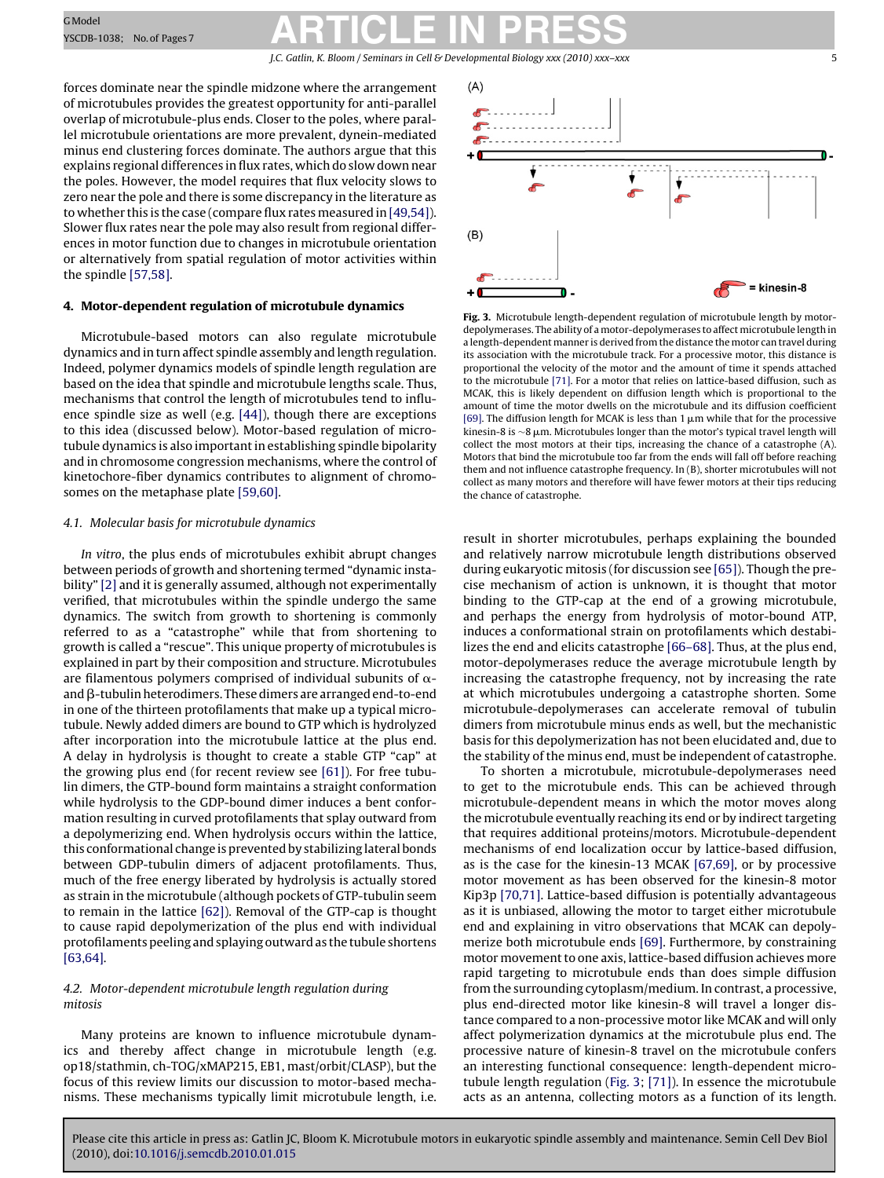### GModel **Resc**ipe-1038; No.of Pages7 **ARTICLE IN PRESS**

J.C. Gatlin, K. Bloom / Seminars in Cell & Developmental Biology *xxx* (2010) *xxx*-xxx

forces dominate near the spindle midzone where the arrangement of microtubules provides the greatest opportunity for anti-parallel overlap of microtubule-plus ends. Closer to the poles, where parallel microtubule orientations are more prevalent, dynein-mediated minus end clustering forces dominate. The authors argue that this explains regional differences in flux rates, which do slow down near the poles. However, the model requires that flux velocity slows to zero near the pole and there is some discrepancy in the literature as to whether this is the case (compare flux rates measured in [\[49,54\]\).](#page-6-0) Slower flux rates near the pole may also result from regional differences in motor function due to changes in microtubule orientation or alternatively from spatial regulation of motor activities within the spindle [\[57,58\].](#page-6-0)

#### **4. Motor-dependent regulation of microtubule dynamics**

Microtubule-based motors can also regulate microtubule dynamics and in turn affect spindle assembly and length regulation. Indeed, polymer dynamics models of spindle length regulation are based on the idea that spindle and microtubule lengths scale. Thus, mechanisms that control the length of microtubules tend to influence spindle size as well (e.g. [\[44\]\),](#page-6-0) though there are exceptions to this idea (discussed below). Motor-based regulation of microtubule dynamics is also important in establishing spindle bipolarity and in chromosome congression mechanisms, where the control of kinetochore-fiber dynamics contributes to alignment of chromosomes on the metaphase plate [\[59,60\].](#page-6-0)

#### 4.1. Molecular basis for microtubule dynamics

In vitro, the plus ends of microtubules exhibit abrupt changes between periods of growth and shortening termed "dynamic instability" [\[2\]](#page-5-0) and it is generally assumed, although not experimentally verified, that microtubules within the spindle undergo the same dynamics. The switch from growth to shortening is commonly referred to as a "catastrophe" while that from shortening to growth is called a "rescue". This unique property of microtubules is explained in part by their composition and structure. Microtubules are filamentous polymers comprised of individual subunits of  $\alpha$ and  $\beta$ -tubulin heterodimers. These dimers are arranged end-to-end in one of the thirteen protofilaments that make up a typical microtubule. Newly added dimers are bound to GTP which is hydrolyzed after incorporation into the microtubule lattice at the plus end. A delay in hydrolysis is thought to create a stable GTP "cap" at the growing plus end (for recent review see [\[61\]\).](#page-6-0) For free tubulin dimers, the GTP-bound form maintains a straight conformation while hydrolysis to the GDP-bound dimer induces a bent conformation resulting in curved protofilaments that splay outward from a depolymerizing end. When hydrolysis occurs within the lattice, this conformational change is prevented by stabilizing lateral bonds between GDP-tubulin dimers of adjacent protofilaments. Thus, much of the free energy liberated by hydrolysis is actually stored as strain in the microtubule (although pockets of GTP-tubulin seem to remain in the lattice [\[62\]\).](#page-6-0) Removal of the GTP-cap is thought to cause rapid depolymerization of the plus end with individual protofilaments peeling and splaying outward as the tubule shortens [\[63,64\].](#page-6-0)

#### 4.2. Motor-dependent microtubule length regulation during mitosis

Many proteins are known to influence microtubule dynamics and thereby affect change in microtubule length (e.g. op18/stathmin, ch-TOG/xMAP215, EB1, mast/orbit/CLASP), but the focus of this review limits our discussion to motor-based mechanisms. These mechanisms typically limit microtubule length, i.e.



**Fig. 3.** Microtubule length-dependent regulation of microtubule length by motordepolymerases. The ability of a motor-depolymerases to affect microtubule length in a length-dependent manner is derived from the distance the motor can travel during its association with the microtubule track. For a processive motor, this distance is proportional the velocity of the motor and the amount of time it spends attached to the microtubule [\[71\]. F](#page-6-0)or a motor that relies on lattice-based diffusion, such as MCAK, this is likely dependent on diffusion length which is proportional to the amount of time the motor dwells on the microtubule and its diffusion coefficient [\[69\]. T](#page-6-0)he diffusion length for MCAK is less than 1  $\mu$ m while that for the processive kinesin-8 is ~8 µm. Microtubules longer than the motor's typical travel length will collect the most motors at their tips, increasing the chance of a catastrophe (A). Motors that bind the microtubule too far from the ends will fall off before reaching them and not influence catastrophe frequency. In (B), shorter microtubules will not collect as many motors and therefore will have fewer motors at their tips reducing the chance of catastrophe.

result in shorter microtubules, perhaps explaining the bounded and relatively narrow microtubule length distributions observed during eukaryotic mitosis (for discussion see [\[65\]\).](#page-6-0) Though the precise mechanism of action is unknown, it is thought that motor binding to the GTP-cap at the end of a growing microtubule, and perhaps the energy from hydrolysis of motor-bound ATP, induces a conformational strain on protofilaments which destabilizes the end and elicits catastrophe [\[66–68\]. T](#page-6-0)hus, at the plus end, motor-depolymerases reduce the average microtubule length by increasing the catastrophe frequency, not by increasing the rate at which microtubules undergoing a catastrophe shorten. Some microtubule-depolymerases can accelerate removal of tubulin dimers from microtubule minus ends as well, but the mechanistic basis for this depolymerization has not been elucidated and, due to the stability of the minus end, must be independent of catastrophe.

To shorten a microtubule, microtubule-depolymerases need to get to the microtubule ends. This can be achieved through microtubule-dependent means in which the motor moves along the microtubule eventually reaching its end or by indirect targeting that requires additional proteins/motors. Microtubule-dependent mechanisms of end localization occur by lattice-based diffusion, as is the case for the kinesin-13 MCAK [\[67,69\], o](#page-6-0)r by processive motor movement as has been observed for the kinesin-8 motor Kip3p [\[70,71\]. L](#page-6-0)attice-based diffusion is potentially advantageous as it is unbiased, allowing the motor to target either microtubule end and explaining in vitro observations that MCAK can depolymerize both microtubule ends [\[69\]. F](#page-6-0)urthermore, by constraining motor movement to one axis, lattice-based diffusion achieves more rapid targeting to microtubule ends than does simple diffusion from the surrounding cytoplasm/medium. In contrast, a processive, plus end-directed motor like kinesin-8 will travel a longer distance compared to a non-processive motor like MCAK and will only affect polymerization dynamics at the microtubule plus end. The processive nature of kinesin-8 travel on the microtubule confers an interesting functional consequence: length-dependent microtubule length regulation (Fig. 3; [\[71\]\).](#page-6-0) In essence the microtubule acts as an antenna, collecting motors as a function of its length.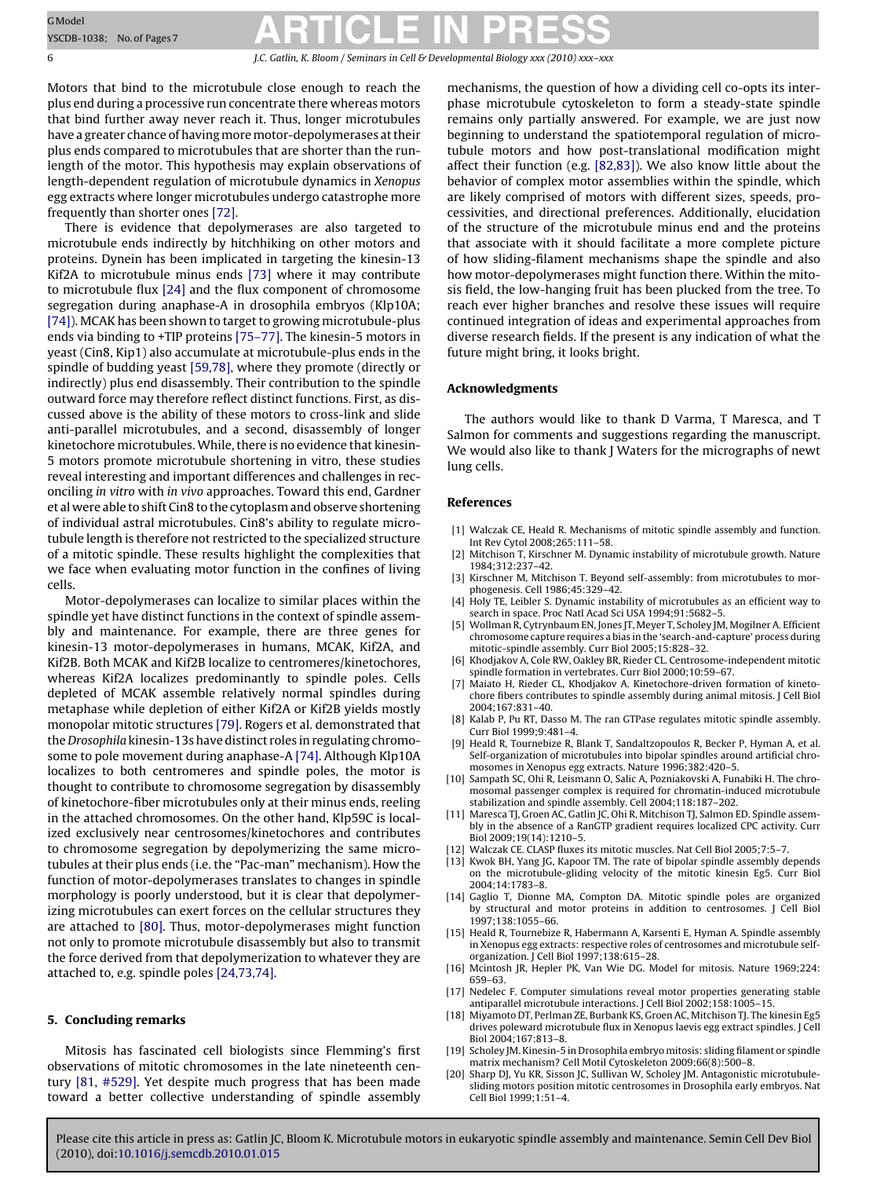<span id="page-5-0"></span>6 J.C. Gatlin, K. Bloom / Seminars in Cell & Developmental Biology *xxx (2010) xxx–xxx*

Motors that bind to the microtubule close enough to reach the plus end during a processive run concentrate there whereas motors that bind further away never reach it. Thus, longer microtubules have a greater chance of having more motor-depolymerases at their plus ends compared to microtubules that are shorter than the runlength of the motor. This hypothesis may explain observations of length-dependent regulation of microtubule dynamics in Xenopus egg extracts where longer microtubules undergo catastrophe more frequently than shorter ones [\[72\].](#page-6-0)

There is evidence that depolymerases are also targeted to microtubule ends indirectly by hitchhiking on other motors and proteins. Dynein has been implicated in targeting the kinesin-13 Kif2A to microtubule minus ends [\[73\]](#page-6-0) where it may contribute to microtubule flux [\[24\]](#page-6-0) and the flux component of chromosome segregation during anaphase-A in drosophila embryos (Klp10A; [\[74\]\).](#page-6-0) MCAK has been shown to target to growing microtubule-plus ends via binding to +TIP proteins [\[75–77\]. T](#page-6-0)he kinesin-5 motors in yeast (Cin8, Kip1) also accumulate at microtubule-plus ends in the spindle of budding yeast [\[59,78\], w](#page-6-0)here they promote (directly or indirectly) plus end disassembly. Their contribution to the spindle outward force may therefore reflect distinct functions. First, as discussed above is the ability of these motors to cross-link and slide anti-parallel microtubules, and a second, disassembly of longer kinetochore microtubules. While, there is no evidence that kinesin-5 motors promote microtubule shortening in vitro, these studies reveal interesting and important differences and challenges in reconciling in vitro with in vivo approaches. Toward this end, Gardner et al were able to shift Cin8 to the cytoplasm and observe shortening of individual astral microtubules. Cin8's ability to regulate microtubule length is therefore not restricted to the specialized structure of a mitotic spindle. These results highlight the complexities that we face when evaluating motor function in the confines of living cells.

Motor-depolymerases can localize to similar places within the spindle yet have distinct functions in the context of spindle assembly and maintenance. For example, there are three genes for kinesin-13 motor-depolymerases in humans, MCAK, Kif2A, and Kif2B. Both MCAK and Kif2B localize to centromeres/kinetochores, whereas Kif2A localizes predominantly to spindle poles. Cells depleted of MCAK assemble relatively normal spindles during metaphase while depletion of either Kif2A or Kif2B yields mostly monopolar mitotic structures [\[79\]. R](#page-6-0)ogers et al. demonstrated that the Drosophila kinesin-13s have distinct roles in regulating chromosome to pole movement during anaphase-A [\[74\]. A](#page-6-0)lthough Klp10A localizes to both centromeres and spindle poles, the motor is thought to contribute to chromosome segregation by disassembly of kinetochore-fiber microtubules only at their minus ends, reeling in the attached chromosomes. On the other hand, Klp59C is localized exclusively near centrosomes/kinetochores and contributes to chromosome segregation by depolymerizing the same microtubules at their plus ends (i.e. the "Pac-man" mechanism). How the function of motor-depolymerases translates to changes in spindle morphology is poorly understood, but it is clear that depolymerizing microtubules can exert forces on the cellular structures they are attached to [\[80\]. T](#page-6-0)hus, motor-depolymerases might function not only to promote microtubule disassembly but also to transmit the force derived from that depolymerization to whatever they are attached to, e.g. spindle poles [\[24,73,74\].](#page-6-0)

#### **5. Concluding remarks**

Mitosis has fascinated cell biologists since Flemming's first observations of mitotic chromosomes in the late nineteenth century [\[81, #529\].](#page-6-0) Yet despite much progress that has been made toward a better collective understanding of spindle assembly

mechanisms, the question of how a dividing cell co-opts its interphase microtubule cytoskeleton to form a steady-state spindle remains only partially answered. For example, we are just now beginning to understand the spatiotemporal regulation of microtubule motors and how post-translational modification might affect their function (e.g. [\[82,83\]\).](#page-6-0) We also know little about the behavior of complex motor assemblies within the spindle, which are likely comprised of motors with different sizes, speeds, processivities, and directional preferences. Additionally, elucidation of the structure of the microtubule minus end and the proteins that associate with it should facilitate a more complete picture of how sliding-filament mechanisms shape the spindle and also how motor-depolymerases might function there. Within the mitosis field, the low-hanging fruit has been plucked from the tree. To reach ever higher branches and resolve these issues will require continued integration of ideas and experimental approaches from diverse research fields. If the present is any indication of what the future might bring, it looks bright.

#### **Acknowledgments**

The authors would like to thank D Varma, T Maresca, and T Salmon for comments and suggestions regarding the manuscript. We would also like to thank J Waters for the micrographs of newt lung cells.

#### **References**

- [1] Walczak CE, Heald R. Mechanisms of mitotic spindle assembly and function. Int Rev Cytol 2008;265:111–58.
- [2] Mitchison T, Kirschner M. Dynamic instability of microtubule growth. Nature 1984;312:237–42.
- [3] Kirschner M, Mitchison T. Beyond self-assembly: from microtubules to morphogenesis. Cell 1986;45:329–42.
- [4] Holy TE, Leibler S. Dynamic instability of microtubules as an efficient way to search in space. Proc Natl Acad Sci USA 1994;91:5682–5.
- [5] Wollman R, Cytrynbaum EN, Jones JT, Meyer T, Scholey JM, Mogilner A. Efficient chromosome capture requires a bias in the 'search-and-capture' process during mitotic-spindle assembly. Curr Biol 2005;15:828–32.
- [6] Khodjakov A, Cole RW, Oakley BR, Rieder CL. Centrosome-independent mitotic spindle formation in vertebrates. Curr Biol 2000;10:59–67.
- [7] Maiato H, Rieder CL, Khodjakov A. Kinetochore-driven formation of kinetochore fibers contributes to spindle assembly during animal mitosis. J Cell Biol 2004;167:831–40.
- [8] Kalab P, Pu RT, Dasso M. The ran GTPase regulates mitotic spindle assembly.  $C$ urr Biol 1999 $\cdot$ 9 $\cdot$ 481-4.
- [9] Heald R, Tournebize R, Blank T, Sandaltzopoulos R, Becker P, Hyman A, et al. Self-organization of microtubules into bipolar spindles around artificial chromosomes in Xenopus egg extracts. Nature 1996;382:420–5.
- [10] Sampath SC, Ohi R, Leismann O, Salic A, Pozniakovski A, Funabiki H. The chromosomal passenger complex is required for chromatin-induced microtubule stabilization and spindle assembly. Cell 2004;118:187–202.
- [11] Maresca TJ, Groen AC, Gatlin JC, Ohi R, Mitchison TJ, Salmon ED. Spindle assembly in the absence of a RanGTP gradient requires localized CPC activity. Curr Biol 2009;19(14):1210–5.
- [12] Walczak CE. CLASP fluxes its mitotic muscles. Nat Cell Biol 2005;7:5–7.
- [13] Kwok BH, Yang JG, Kapoor TM. The rate of bipolar spindle assembly depends on the microtubule-gliding velocity of the mitotic kinesin Eg5. Curr Biol 2004;14:1783–8.
- [14] Gaglio T, Dionne MA, Compton DA. Mitotic spindle poles are organized by structural and motor proteins in addition to centrosomes. J Cell Biol 1997;138:1055–66.
- [15] Heald R, Tournebize R, Habermann A, Karsenti E, Hyman A. Spindle assembly in Xenopus egg extracts: respective roles of centrosomes and microtubule selforganization. J Cell Biol 1997;138:615–28.
- [16] Mcintosh JR, Hepler PK, Van Wie DG. Model for mitosis. Nature 1969;224: 659–63.
- [17] Nedelec F. Computer simulations reveal motor properties generating stable antiparallel microtubule interactions. J Cell Biol 2002;158:1005–15.
- [18] Miyamoto DT, Perlman ZE, Burbank KS, Groen AC, Mitchison TJ. The kinesin Eg5 drives poleward microtubule flux in Xenopus laevis egg extract spindles. J Cell Biol 2004;167:813–8.
- [19] Scholey JM. Kinesin-5 in Drosophila embryo mitosis: sliding filament or spindle matrix mechanism? Cell Motil Cytoskeleton 2009;66(8):500–8.
- [20] Sharp DJ, Yu KR, Sisson JC, Sullivan W, Scholey JM. Antagonistic microtubulesliding motors position mitotic centrosomes in Drosophila early embryos. Nat Cell Biol 1999;1:51–4.